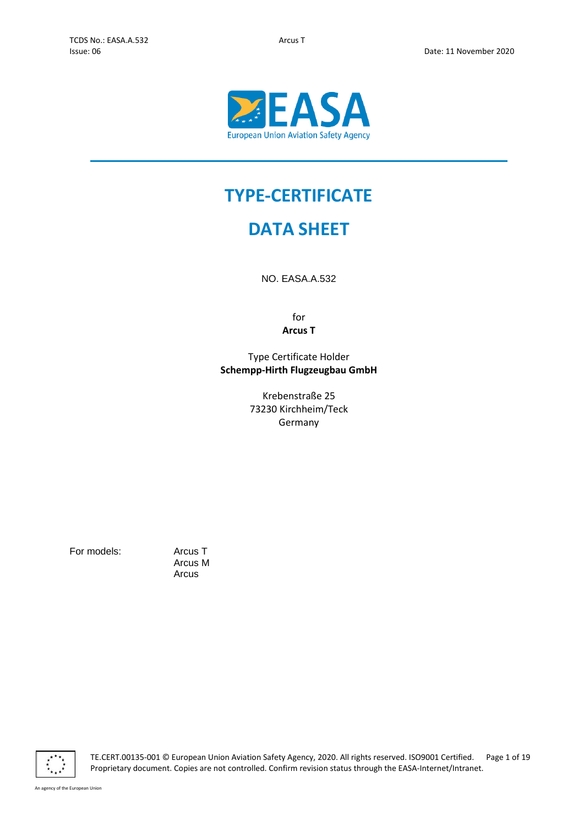

# **TYPE-CERTIFICATE**

# **DATA SHEET**

NO. EASA.A.532

for **Arcus T**

Type Certificate Holder **Schempp-Hirth Flugzeugbau GmbH**

> Krebenstraße 25 73230 Kirchheim/Teck Germany

For models: Arcus T

Arcus M Arcus



TE.CERT.00135-001 © European Union Aviation Safety Agency, 2020. All rights reserved. ISO9001 Certified. Page 1 of 19 Proprietary document. Copies are not controlled. Confirm revision status through the EASA-Internet/Intranet.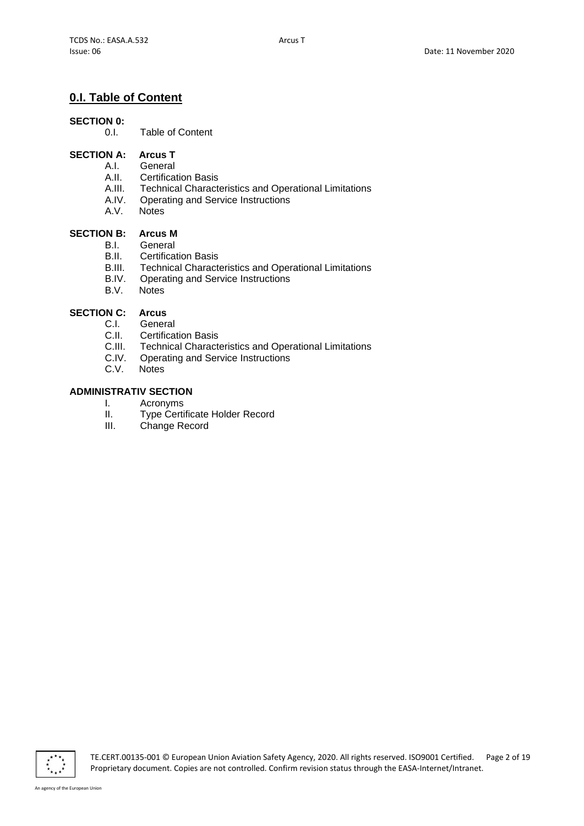# **0.I. Table of Content**

## **SECTION 0:**

0.I. Table of Content

## **SECTION A: Arcus T**

- A.I. General
- A.II. Certification Basis<br>A.III. Technical Charact
- A.III. Technical Characteristics and Operational Limitations<br>A.IV. Operating and Service Instructions
- A.IV. Operating and Service Instructions<br>A.V. Notes
- **Notes**

## **SECTION B: Arcus M**

- B.I. General
- B.II. Certification Basis
- B.III. Technical Characteristics and Operational Limitations<br>B.IV. Operating and Service Instructions
- B.IV. Operating and Service Instructions<br>B.V. Notes
- **Notes**

## **SECTION C: Arcus**

- C.I. General
- C.II. Certification Basis
- C.III. Technical Characteristics and Operational Limitations
- C.IV. Operating and Service Instructions
- C.V. Notes

# **ADMINISTRATIV SECTION**

- 
- I. Acronyms<br>II. Type Certi II. Type Certificate Holder Record<br>III. Change Record
- Change Record

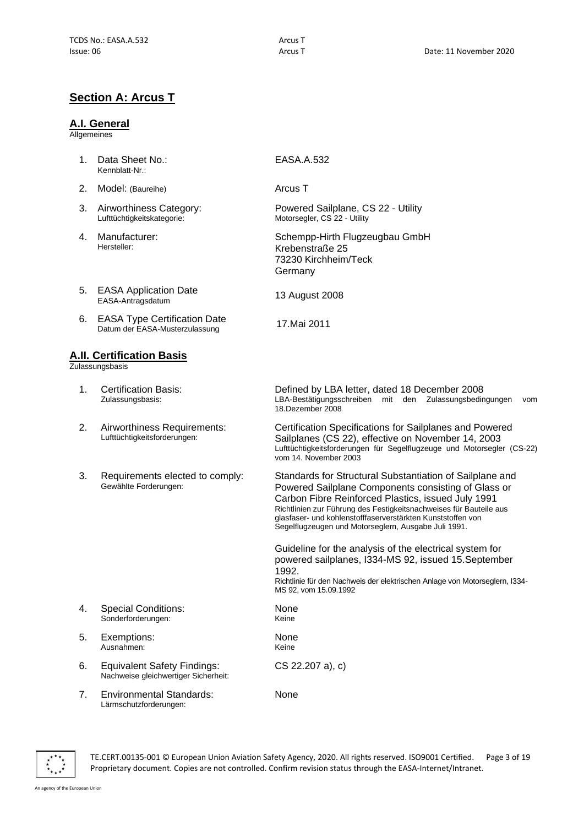# **Section A: Arcus T**

#### **A.I. General**

**Allgemeines** 

- 1. Data Sheet No.: Kennblatt-Nr.:
- 2. Model: (Baureihe) **Arcus T**
- 3. Airworthiness Category: Lufttüchtigkeitskategorie:
- 4. Manufacturer: Hersteller:
- 5. EASA Application Date<br>EASA-Antragsdatum
- 6. EASA Type Certification Date EASA Type Certification Date<br>Datum der EASA-Musterzulassung 17.Mai 2011

#### **A.II. Certification Basis**

**Zulassungsbasis** 

- 1. Certification Basis: Zulassungsbasis:
- 2. Airworthiness Requirements: Lufttüchtigkeitsforderungen:
- 3. Requirements elected to comply: Gewählte Forderungen:

4. Special Conditions: Sonderforderungen:

- 5. Exemptions: Ausnahmen:
- 6. Equivalent Safety Findings: Nachweise gleichwertiger Sicherheit:
- 7. Environmental Standards: Lärmschutzforderungen:

EASA.A.532

Powered Sailplane, CS 22 - Utility Motorsegler, CS 22 - Utility

Schempp-Hirth Flugzeugbau GmbH Krebenstraße 25 73230 Kirchheim/Teck Germany

13 August 2008

Defined by LBA letter, dated 18 December 2008 LBA-Bestätigungsschreiben mit den Zulassungsbedingungen vom 18.Dezember 2008

Certification Specifications for Sailplanes and Powered Sailplanes (CS 22), effective on November 14, 2003 Lufttüchtigkeitsforderungen für Segelflugzeuge und Motorsegler (CS-22) vom 14. November 2003

Standards for Structural Substantiation of Sailplane and Powered Sailplane Components consisting of Glass or Carbon Fibre Reinforced Plastics, issued July 1991 Richtlinien zur Führung des Festigkeitsnachweises für Bauteile aus glasfaser- und kohlenstofffaserverstärkten Kunststoffen von Segelflugzeugen und Motorseglern, Ausgabe Juli 1991.

Guideline for the analysis of the electrical system for powered sailplanes, I334-MS 92, issued 15.September 1992.

Richtlinie für den Nachweis der elektrischen Anlage von Motorseglern, I334- MS 92, vom 15.09.1992

None Keine

**None** Keine

CS 22.207 a), c)

None



TE.CERT.00135-001 © European Union Aviation Safety Agency, 2020. All rights reserved. ISO9001 Certified. Page 3 of 19 Proprietary document. Copies are not controlled. Confirm revision status through the EASA-Internet/Intranet.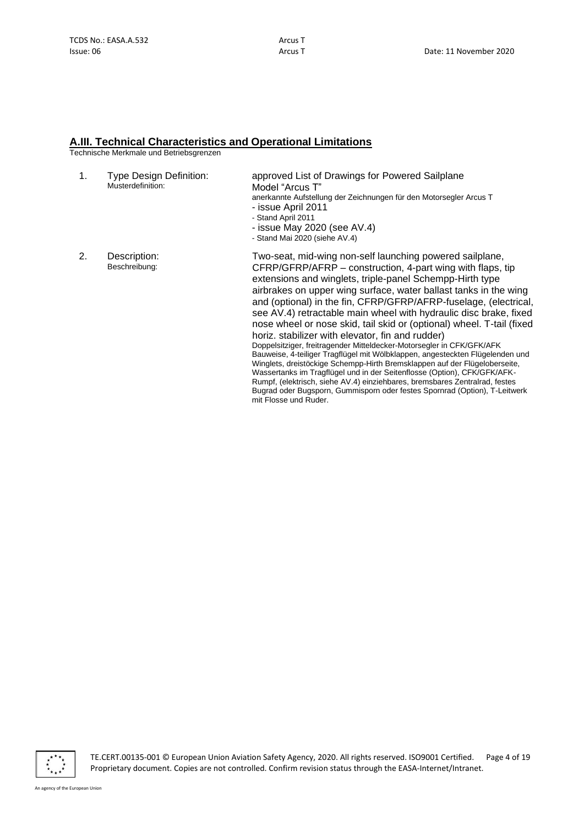## **A.III. Technical Characteristics and Operational Limitations**

Technische Merkmale und Betriebsgrenzen

| 1. | <b>Type Design Definition:</b><br>Musterdefinition: | approved List of Drawings for Powered Sailplane<br>Model "Arcus T"<br>anerkannte Aufstellung der Zeichnungen für den Motorsegler Arcus T<br>- issue April 2011<br>- Stand April 2011<br>- issue May 2020 (see $AV.4$ )<br>- Stand Mai 2020 (siehe AV.4)                                                                                                                                                                                                                                                                                                                                                                                                                                                                                                                                                                                                                                                                                                                                                                                |
|----|-----------------------------------------------------|----------------------------------------------------------------------------------------------------------------------------------------------------------------------------------------------------------------------------------------------------------------------------------------------------------------------------------------------------------------------------------------------------------------------------------------------------------------------------------------------------------------------------------------------------------------------------------------------------------------------------------------------------------------------------------------------------------------------------------------------------------------------------------------------------------------------------------------------------------------------------------------------------------------------------------------------------------------------------------------------------------------------------------------|
| 2. | Description:<br>Beschreibung:                       | Two-seat, mid-wing non-self launching powered sailplane,<br>CFRP/GFRP/AFRP – construction, 4-part wing with flaps, tip<br>extensions and winglets, triple-panel Schempp-Hirth type<br>airbrakes on upper wing surface, water ballast tanks in the wing<br>and (optional) in the fin, CFRP/GFRP/AFRP-fuselage, (electrical,<br>see AV.4) retractable main wheel with hydraulic disc brake, fixed<br>nose wheel or nose skid, tail skid or (optional) wheel. T-tail (fixed<br>horiz. stabilizer with elevator, fin and rudder)<br>Doppelsitziger, freitragender Mitteldecker-Motorsegler in CFK/GFK/AFK<br>Bauweise, 4-teiliger Tragflügel mit Wölbklappen, angesteckten Flügelenden und<br>Winglets, dreistöckige Schempp-Hirth Bremsklappen auf der Flügeloberseite,<br>Wassertanks im Tragflügel und in der Seitenflosse (Option), CFK/GFK/AFK-<br>Rumpf, (elektrisch, siehe AV.4) einziehbares, bremsbares Zentralrad, festes<br>Bugrad oder Bugsporn, Gummisporn oder festes Spornrad (Option), T-Leitwerk<br>mit Flosse und Ruder. |

 $\overline{\cdot}$ 

TE.CERT.00135-001 © European Union Aviation Safety Agency, 2020. All rights reserved. ISO9001 Certified. Page 4 of 19 Proprietary document. Copies are not controlled. Confirm revision status through the EASA-Internet/Intranet.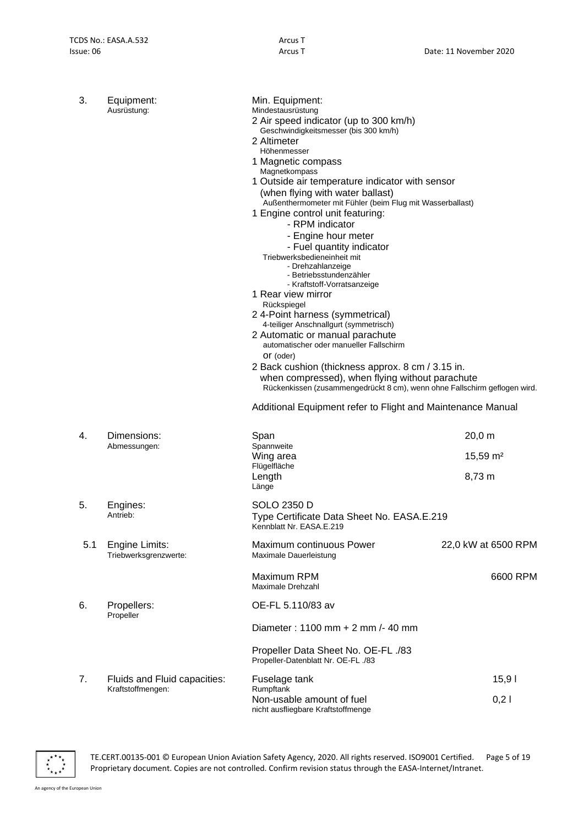| 3.  | Equipment:<br>Ausrüstung:               | Min. Equipment:<br>Mindestausrüstung<br>2 Air speed indicator (up to 300 km/h)<br>Geschwindigkeitsmesser (bis 300 km/h)<br>2 Altimeter<br>Höhenmesser<br>1 Magnetic compass<br>Magnetkompass<br>1 Outside air temperature indicator with sensor<br>(when flying with water ballast)<br>Außenthermometer mit Fühler (beim Flug mit Wasserballast)<br>1 Engine control unit featuring:<br>- RPM indicator<br>- Engine hour meter<br>- Fuel quantity indicator<br>Triebwerksbedieneinheit mit<br>- Drehzahlanzeige<br>- Betriebsstundenzähler<br>- Kraftstoff-Vorratsanzeige<br>1 Rear view mirror<br>Rückspiegel<br>24-Point harness (symmetrical)<br>4-teiliger Anschnallgurt (symmetrisch)<br>2 Automatic or manual parachute<br>automatischer oder manueller Fallschirm<br>Or (oder)<br>2 Back cushion (thickness approx. 8 cm / 3.15 in.<br>when compressed), when flying without parachute<br>Rückenkissen (zusammengedrückt 8 cm), wenn ohne Fallschirm geflogen wird.<br>Additional Equipment refer to Flight and Maintenance Manual |                                            |
|-----|-----------------------------------------|-------------------------------------------------------------------------------------------------------------------------------------------------------------------------------------------------------------------------------------------------------------------------------------------------------------------------------------------------------------------------------------------------------------------------------------------------------------------------------------------------------------------------------------------------------------------------------------------------------------------------------------------------------------------------------------------------------------------------------------------------------------------------------------------------------------------------------------------------------------------------------------------------------------------------------------------------------------------------------------------------------------------------------------------|--------------------------------------------|
| 4.  | Dimensions:<br>Abmessungen:             | Span<br>Spannweite<br>Wing area<br>Flügelfläche                                                                                                                                                                                                                                                                                                                                                                                                                                                                                                                                                                                                                                                                                                                                                                                                                                                                                                                                                                                           | $20,0 \, \text{m}$<br>15,59 m <sup>2</sup> |
|     |                                         | Length<br>Länge                                                                                                                                                                                                                                                                                                                                                                                                                                                                                                                                                                                                                                                                                                                                                                                                                                                                                                                                                                                                                           | 8,73 m                                     |
| 5.  | Engines:<br>Antrieb:                    | SOLO 2350 D<br>Type Certificate Data Sheet No. EASA.E.219<br>Kennblatt Nr. EASA.E.219                                                                                                                                                                                                                                                                                                                                                                                                                                                                                                                                                                                                                                                                                                                                                                                                                                                                                                                                                     |                                            |
| 5.1 | Engine Limits:<br>Triebwerksgrenzwerte: | Maximum continuous Power<br>Maximale Dauerleistung                                                                                                                                                                                                                                                                                                                                                                                                                                                                                                                                                                                                                                                                                                                                                                                                                                                                                                                                                                                        | 22,0 kW at 6500 RPM                        |
|     |                                         | Maximum RPM<br>Maximale Drehzahl                                                                                                                                                                                                                                                                                                                                                                                                                                                                                                                                                                                                                                                                                                                                                                                                                                                                                                                                                                                                          | 6600 RPM                                   |
| 6.  | Propellers:<br>Propeller                | OE-FL 5.110/83 av                                                                                                                                                                                                                                                                                                                                                                                                                                                                                                                                                                                                                                                                                                                                                                                                                                                                                                                                                                                                                         |                                            |
|     |                                         | Diameter: $1100$ mm $+$ 2 mm $/$ - 40 mm                                                                                                                                                                                                                                                                                                                                                                                                                                                                                                                                                                                                                                                                                                                                                                                                                                                                                                                                                                                                  |                                            |
|     |                                         | Propeller Data Sheet No. OE-FL ./83<br>Propeller-Datenblatt Nr. OE-FL ./83                                                                                                                                                                                                                                                                                                                                                                                                                                                                                                                                                                                                                                                                                                                                                                                                                                                                                                                                                                |                                            |
| 7.  | Fluids and Fluid capacities:            | Fuselage tank                                                                                                                                                                                                                                                                                                                                                                                                                                                                                                                                                                                                                                                                                                                                                                                                                                                                                                                                                                                                                             | 15,91                                      |
|     | Kraftstoffmengen:                       | Rumpftank<br>Non-usable amount of fuel<br>nicht ausfliegbare Kraftstoffmenge                                                                                                                                                                                                                                                                                                                                                                                                                                                                                                                                                                                                                                                                                                                                                                                                                                                                                                                                                              | 0,21                                       |



TE.CERT.00135-001 © European Union Aviation Safety Agency, 2020. All rights reserved. ISO9001 Certified. Page 5 of 19 Proprietary document. Copies are not controlled. Confirm revision status through the EASA-Internet/Intranet.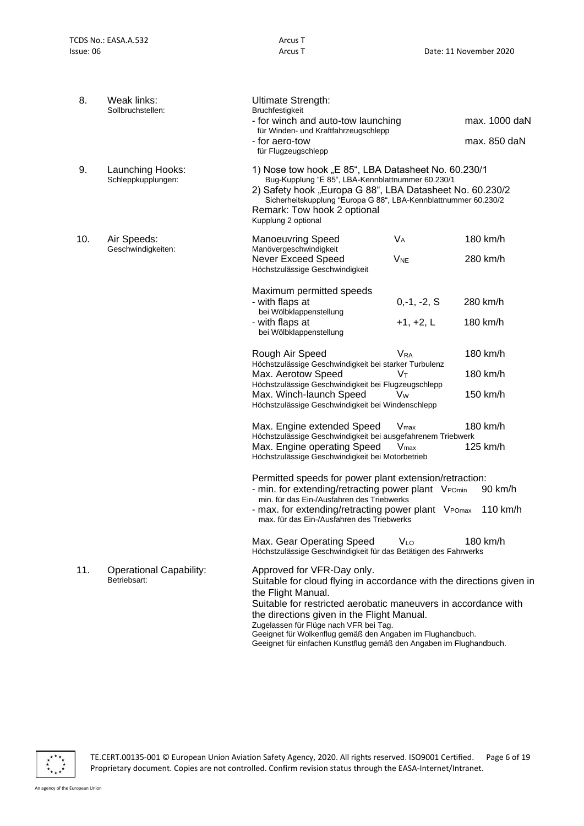| 8.                                           | Weak links:<br>Sollbruchstellen:               | Ultimate Strength:<br><b>Bruchfestigkeit</b><br>- for winch and auto-tow launching                                                                                                                                                                                                                                                                                                                                      |                        | max. 1000 daN |
|----------------------------------------------|------------------------------------------------|-------------------------------------------------------------------------------------------------------------------------------------------------------------------------------------------------------------------------------------------------------------------------------------------------------------------------------------------------------------------------------------------------------------------------|------------------------|---------------|
|                                              |                                                | für Winden- und Kraftfahrzeugschlepp                                                                                                                                                                                                                                                                                                                                                                                    |                        |               |
|                                              |                                                | - for aero-tow<br>für Flugzeugschlepp                                                                                                                                                                                                                                                                                                                                                                                   |                        | max. 850 daN  |
| 9.<br>Launching Hooks:<br>Schleppkupplungen: |                                                | 1) Nose tow hook "E 85", LBA Datasheet No. 60.230/1<br>Bug-Kupplung "E 85", LBA-Kennblattnummer 60.230/1                                                                                                                                                                                                                                                                                                                |                        |               |
|                                              |                                                | 2) Safety hook "Europa G 88", LBA Datasheet No. 60.230/2<br>Sicherheitskupplung "Europa G 88", LBA-Kennblattnummer 60.230/2<br>Remark: Tow hook 2 optional<br>Kupplung 2 optional                                                                                                                                                                                                                                       |                        |               |
| 10.                                          | Air Speeds:<br>Geschwindigkeiten:              | <b>Manoeuvring Speed</b><br>Manövergeschwindigkeit                                                                                                                                                                                                                                                                                                                                                                      | <b>V<sub>A</sub></b>   | 180 km/h      |
|                                              |                                                | Never Exceed Speed<br>Höchstzulässige Geschwindigkeit                                                                                                                                                                                                                                                                                                                                                                   | <b>V<sub>NE</sub></b>  | 280 km/h      |
|                                              |                                                | Maximum permitted speeds                                                                                                                                                                                                                                                                                                                                                                                                |                        |               |
|                                              |                                                | - with flaps at<br>bei Wölbklappenstellung                                                                                                                                                                                                                                                                                                                                                                              | $0,-1,-2, S$           | 280 km/h      |
|                                              |                                                | - with flaps at<br>bei Wölbklappenstellung                                                                                                                                                                                                                                                                                                                                                                              | $+1, +2, L$            | 180 km/h      |
|                                              |                                                | Rough Air Speed<br>Höchstzulässige Geschwindigkeit bei starker Turbulenz                                                                                                                                                                                                                                                                                                                                                | <b>V</b> <sub>RA</sub> | 180 km/h      |
|                                              |                                                | Max. Aerotow Speed<br>Höchstzulässige Geschwindigkeit bei Flugzeugschlepp                                                                                                                                                                                                                                                                                                                                               | Vт                     | 180 km/h      |
|                                              |                                                | Max. Winch-launch Speed<br>Höchstzulässige Geschwindigkeit bei Windenschlepp                                                                                                                                                                                                                                                                                                                                            | Vw                     | 150 km/h      |
|                                              |                                                | Max. Engine extended Speed<br>Höchstzulässige Geschwindigkeit bei ausgefahrenem Triebwerk                                                                                                                                                                                                                                                                                                                               | $V_{\text{max}}$       | 180 km/h      |
|                                              |                                                | Max. Engine operating Speed<br>Höchstzulässige Geschwindigkeit bei Motorbetrieb                                                                                                                                                                                                                                                                                                                                         | $V_{\text{max}}$       | 125 km/h      |
|                                              |                                                | Permitted speeds for power plant extension/retraction:                                                                                                                                                                                                                                                                                                                                                                  |                        |               |
|                                              |                                                | - min. for extending/retracting power plant VPOmin<br>min. für das Ein-/Ausfahren des Triebwerks                                                                                                                                                                                                                                                                                                                        |                        | 90 km/h       |
|                                              |                                                | - max. for extending/retracting power plant VPOmax<br>max. für das Ein-/Ausfahren des Triebwerks                                                                                                                                                                                                                                                                                                                        |                        | 110 km/h      |
|                                              |                                                | Max. Gear Operating Speed<br>Höchstzulässige Geschwindigkeit für das Betätigen des Fahrwerks                                                                                                                                                                                                                                                                                                                            | VLo                    | 180 km/h      |
| 11.                                          | <b>Operational Capability:</b><br>Betriebsart: | Approved for VFR-Day only.<br>Suitable for cloud flying in accordance with the directions given in<br>the Flight Manual.<br>Suitable for restricted aerobatic maneuvers in accordance with<br>the directions given in the Flight Manual.<br>Zugelassen für Flüge nach VFR bei Tag.<br>Geeignet für Wolkenflug gemäß den Angaben im Flughandbuch.<br>Geeignet für einfachen Kunstflug gemäß den Angaben im Flughandbuch. |                        |               |



TE.CERT.00135-001 © European Union Aviation Safety Agency, 2020. All rights reserved. ISO9001 Certified. Page 6 of 19 Proprietary document. Copies are not controlled. Confirm revision status through the EASA-Internet/Intranet.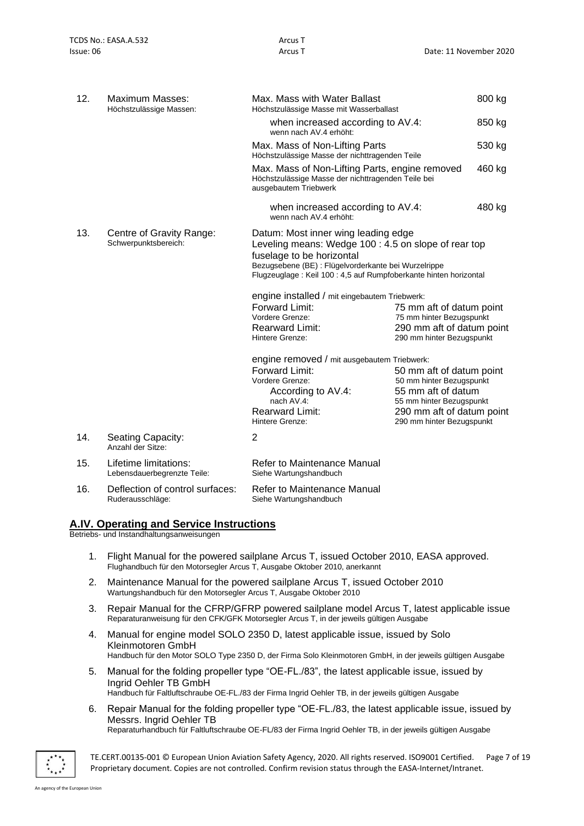| 12. | Maximum Masses:<br>Höchstzulässige Massen:           | Max. Mass with Water Ballast<br>Höchstzulässige Masse mit Wasserballast                                                                                                                                                                              |                                                        | 800 kg |
|-----|------------------------------------------------------|------------------------------------------------------------------------------------------------------------------------------------------------------------------------------------------------------------------------------------------------------|--------------------------------------------------------|--------|
|     |                                                      | when increased according to AV.4:<br>wenn nach AV.4 erhöht:                                                                                                                                                                                          |                                                        | 850 kg |
|     |                                                      | Max. Mass of Non-Lifting Parts<br>Höchstzulässige Masse der nichttragenden Teile                                                                                                                                                                     |                                                        | 530 kg |
|     |                                                      | Max. Mass of Non-Lifting Parts, engine removed<br>Höchstzulässige Masse der nichttragenden Teile bei<br>ausgebautem Triebwerk                                                                                                                        |                                                        | 460 kg |
|     |                                                      | when increased according to AV.4:<br>wenn nach AV.4 erhöht:                                                                                                                                                                                          |                                                        | 480 kg |
| 13. | Centre of Gravity Range:<br>Schwerpunktsbereich:     | Datum: Most inner wing leading edge<br>Leveling means: Wedge 100 : 4.5 on slope of rear top<br>fuselage to be horizontal<br>Bezugsebene (BE) : Flügelvorderkante bei Wurzelrippe<br>Flugzeuglage: Keil 100: 4,5 auf Rumpfoberkante hinten horizontal |                                                        |        |
|     |                                                      | engine installed / mit eingebautem Triebwerk:                                                                                                                                                                                                        |                                                        |        |
|     |                                                      | Forward Limit:                                                                                                                                                                                                                                       | 75 mm aft of datum point                               |        |
|     |                                                      | Vordere Grenze:<br><b>Rearward Limit:</b>                                                                                                                                                                                                            | 75 mm hinter Bezugspunkt<br>290 mm aft of datum point  |        |
|     |                                                      | Hintere Grenze:                                                                                                                                                                                                                                      | 290 mm hinter Bezugspunkt                              |        |
|     |                                                      | engine removed / mit ausgebautem Triebwerk:                                                                                                                                                                                                          |                                                        |        |
|     |                                                      | Forward Limit:                                                                                                                                                                                                                                       | 50 mm aft of datum point                               |        |
|     |                                                      | Vordere Grenze:<br>According to AV.4:                                                                                                                                                                                                                | 50 mm hinter Bezugspunkt<br>55 mm aft of datum         |        |
|     |                                                      | nach AV.4:                                                                                                                                                                                                                                           | 55 mm hinter Bezugspunkt                               |        |
|     |                                                      | <b>Rearward Limit:</b><br>Hintere Grenze:                                                                                                                                                                                                            | 290 mm aft of datum point<br>290 mm hinter Bezugspunkt |        |
| 14. | Seating Capacity:<br>Anzahl der Sitze:               | 2                                                                                                                                                                                                                                                    |                                                        |        |
| 15. | Lifetime limitations:<br>Lebensdauerbegrenzte Teile: | Refer to Maintenance Manual<br>Siehe Wartungshandbuch                                                                                                                                                                                                |                                                        |        |
| 16. | Deflection of control surfaces:<br>Ruderausschläge:  | Refer to Maintenance Manual<br>Siehe Wartungshandbuch                                                                                                                                                                                                |                                                        |        |

#### **A.IV. Operating and Service Instructions**

Betriebs- und Instandhaltungsanweisungen

- 1. Flight Manual for the powered sailplane Arcus T, issued October 2010, EASA approved. Flughandbuch für den Motorsegler Arcus T, Ausgabe Oktober 2010, anerkannt
- 2. Maintenance Manual for the powered sailplane Arcus T, issued October 2010 Wartungshandbuch für den Motorsegler Arcus T, Ausgabe Oktober 2010
- 3. Repair Manual for the CFRP/GFRP powered sailplane model Arcus T, latest applicable issue Reparaturanweisung für den CFK/GFK Motorsegler Arcus T, in der jeweils gültigen Ausgabe
- 4. Manual for engine model SOLO 2350 D, latest applicable issue, issued by Solo Kleinmotoren GmbH Handbuch für den Motor SOLO Type 2350 D, der Firma Solo Kleinmotoren GmbH, in der jeweils gültigen Ausgabe
- 5. Manual for the folding propeller type "OE-FL./83", the latest applicable issue, issued by Ingrid Oehler TB GmbH Handbuch für Faltluftschraube OE-FL./83 der Firma Ingrid Oehler TB, in der jeweils gültigen Ausgabe
- 6. Repair Manual for the folding propeller type "OE-FL./83, the latest applicable issue, issued by Messrs. Ingrid Oehler TB

Reparaturhandbuch für Faltluftschraube OE-FL/83 der Firma Ingrid Oehler TB, in der jeweils gültigen Ausgabe



TE.CERT.00135-001 © European Union Aviation Safety Agency, 2020. All rights reserved. ISO9001 Certified. Page 7 of 19 Proprietary document. Copies are not controlled. Confirm revision status through the EASA-Internet/Intranet.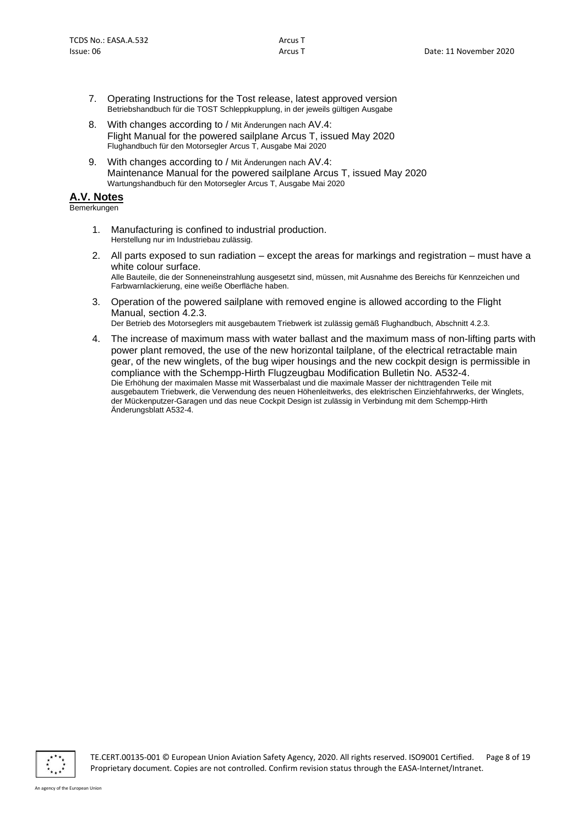- 7. Operating Instructions for the Tost release, latest approved version Betriebshandbuch für die TOST Schleppkupplung, in der jeweils gültigen Ausgabe
- 8. With changes according to / Mit Änderungen nach AV.4: Flight Manual for the powered sailplane Arcus T, issued May 2020 Flughandbuch für den Motorsegler Arcus T, Ausgabe Mai 2020
- 9. With changes according to / Mit Änderungen nach AV.4: Maintenance Manual for the powered sailplane Arcus T, issued May 2020 Wartungshandbuch für den Motorsegler Arcus T, Ausgabe Mai 2020

## **A.V. Notes**

Bemerkungen

- 1. Manufacturing is confined to industrial production. Herstellung nur im Industriebau zulässig.
- 2. All parts exposed to sun radiation except the areas for markings and registration must have a white colour surface. Alle Bauteile, die der Sonneneinstrahlung ausgesetzt sind, müssen, mit Ausnahme des Bereichs für Kennzeichen und Farbwarnlackierung, eine weiße Oberfläche haben.
- 3. Operation of the powered sailplane with removed engine is allowed according to the Flight Manual, section 4.2.3. Der Betrieb des Motorseglers mit ausgebautem Triebwerk ist zulässig gemäß Flughandbuch, Abschnitt 4.2.3.
- 4. The increase of maximum mass with water ballast and the maximum mass of non-lifting parts with power plant removed, the use of the new horizontal tailplane, of the electrical retractable main gear, of the new winglets, of the bug wiper housings and the new cockpit design is permissible in compliance with the Schempp-Hirth Flugzeugbau Modification Bulletin No. A532-4. Die Erhöhung der maximalen Masse mit Wasserbalast und die maximale Masser der nichttragenden Teile mit ausgebautem Triebwerk, die Verwendung des neuen Höhenleitwerks, des elektrischen Einziehfahrwerks, der Winglets, der Mückenputzer-Garagen und das neue Cockpit Design ist zulässig in Verbindung mit dem Schempp-Hirth Änderungsblatt A532-4.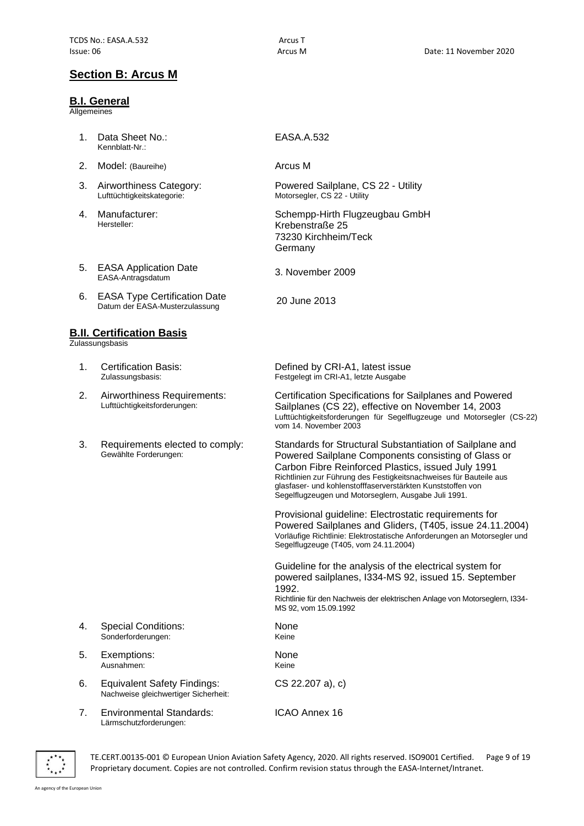# **Section B: Arcus M**

#### **B.I. General**

**Allgemeines** 

- 1. Data Sheet No.: Kennblatt-Nr.:
- 2. Model: (Baureihe) **Arcus M**
- 3. Airworthiness Category: Lufttüchtigkeitskategorie:
- 4. Manufacturer: Hersteller:
- 5. EASA Application Date<br>EASA-Antragsdatum
- 6. EASA Type Certification Date EASA Type Certification Date<br>Datum der EASA-Musterzulassung 20 June 2013

## **B.II. Certification Basis**

Zulassungsbasis

- 1. Certification Basis: Zulassungsbasis:
- 2. Airworthiness Requirements: Lufttüchtigkeitsforderungen:
- 3. Requirements elected to comply: Gewählte Forderungen:

#### EASA.A.532

Powered Sailplane, CS 22 - Utility Motorsegler, CS 22 - Utility

Schempp-Hirth Flugzeugbau GmbH Krebenstraße 25 73230 Kirchheim/Teck Germany

3. November 2009

Defined by CRI-A1, latest issue Festgelegt im CRI-A1, letzte Ausgabe

Certification Specifications for Sailplanes and Powered Sailplanes (CS 22), effective on November 14, 2003 Lufttüchtigkeitsforderungen für Segelflugzeuge und Motorsegler (CS-22) vom 14. November 2003

Standards for Structural Substantiation of Sailplane and Powered Sailplane Components consisting of Glass or Carbon Fibre Reinforced Plastics, issued July 1991 Richtlinien zur Führung des Festigkeitsnachweises für Bauteile aus glasfaser- und kohlenstofffaserverstärkten Kunststoffen von Segelflugzeugen und Motorseglern, Ausgabe Juli 1991.

Provisional guideline: Electrostatic requirements for Powered Sailplanes and Gliders, (T405, issue 24.11.2004) Vorläufige Richtlinie: Elektrostatische Anforderungen an Motorsegler und Segelflugzeuge (T405, vom 24.11.2004)

Guideline for the analysis of the electrical system for powered sailplanes, I334-MS 92, issued 15. September 1992.

Richtlinie für den Nachweis der elektrischen Anlage von Motorseglern, I334- MS 92, vom 15.09.1992

- 4. Special Conditions: Sonderforderungen:
- 5. Exemptions: Ausnahmen:
- 6. Equivalent Safety Findings: Nachweise gleichwertiger Sicherheit:
- 7. Environmental Standards: Lärmschutzforderungen:

ICAO Annex 16

CS 22.207 a), c)

None Keine

None Keine



TE.CERT.00135-001 © European Union Aviation Safety Agency, 2020. All rights reserved. ISO9001 Certified. Page 9 of 19 Proprietary document. Copies are not controlled. Confirm revision status through the EASA-Internet/Intranet.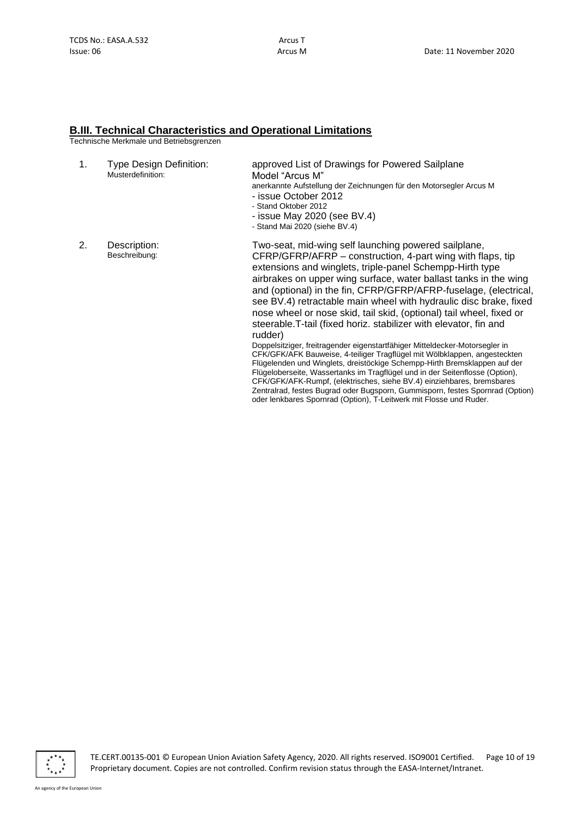#### **B.III. Technical Characteristics and Operational Limitations**

Technische Merkmale und Betriebsgrenzen

| 1. | <b>Type Design Definition:</b><br>Musterdefinition: | approved List of Drawings for Powered Sailplane<br>Model "Arcus M"<br>anerkannte Aufstellung der Zeichnungen für den Motorsegler Arcus M<br>- issue October 2012<br>- Stand Oktober 2012<br>- issue May 2020 (see BV.4)<br>- Stand Mai 2020 (siehe BV.4)                                                                                                                                                                                                                                                                                                                                                                                                                                                                                                                                                                                                                                                                                              |
|----|-----------------------------------------------------|-------------------------------------------------------------------------------------------------------------------------------------------------------------------------------------------------------------------------------------------------------------------------------------------------------------------------------------------------------------------------------------------------------------------------------------------------------------------------------------------------------------------------------------------------------------------------------------------------------------------------------------------------------------------------------------------------------------------------------------------------------------------------------------------------------------------------------------------------------------------------------------------------------------------------------------------------------|
| 2. | Description:<br>Beschreibung:                       | Two-seat, mid-wing self launching powered sailplane,<br>CFRP/GFRP/AFRP – construction, 4-part wing with flaps, tip<br>extensions and winglets, triple-panel Schempp-Hirth type<br>airbrakes on upper wing surface, water ballast tanks in the wing<br>and (optional) in the fin, CFRP/GFRP/AFRP-fuselage, (electrical,<br>see BV.4) retractable main wheel with hydraulic disc brake, fixed<br>nose wheel or nose skid, tail skid, (optional) tail wheel, fixed or<br>steerable. T-tail (fixed horiz. stabilizer with elevator, fin and<br>rudder)<br>Doppelsitziger, freitragender eigenstartfähiger Mitteldecker-Motorsegler in<br>CFK/GFK/AFK Bauweise, 4-teiliger Tragflügel mit Wölbklappen, angesteckten<br>Flügelenden und Winglets, dreistöckige Schempp-Hirth Bremsklappen auf der<br>Flügeloberseite, Wassertanks im Tragflügel und in der Seitenflosse (Option),<br>CFK/GFK/AFK-Rumpf, (elektrisches, siehe BV.4) einziehbares, bremsbares |

Zentralrad, festes Bugrad oder Bugsporn, Gummisporn, festes Spornrad (Option)

oder lenkbares Spornrad (Option), T-Leitwerk mit Flosse und Ruder.

 $\overline{\cdot}$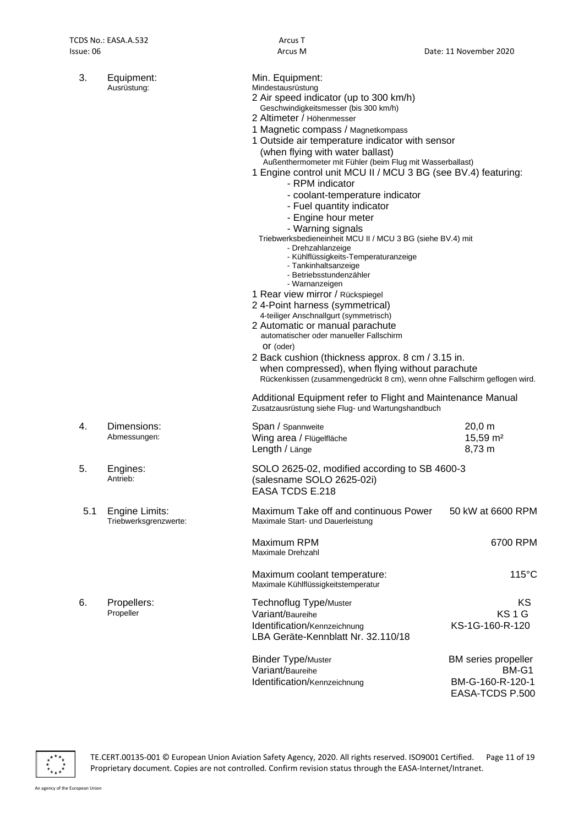| 3.  | Equipment:<br>Ausrüstung:               | Min. Equipment:<br>Mindestausrüstung<br>2 Air speed indicator (up to 300 km/h)<br>Geschwindigkeitsmesser (bis 300 km/h)<br>2 Altimeter / Höhenmesser<br>1 Magnetic compass / Magnetkompass<br>1 Outside air temperature indicator with sensor<br>(when flying with water ballast)<br>Außenthermometer mit Fühler (beim Flug mit Wasserballast)<br>1 Engine control unit MCU II / MCU 3 BG (see BV.4) featuring:<br>- RPM indicator<br>- coolant-temperature indicator<br>- Fuel quantity indicator<br>- Engine hour meter<br>- Warning signals<br>Triebwerksbedieneinheit MCU II / MCU 3 BG (siehe BV.4) mit<br>- Drehzahlanzeige<br>- Kühlflüssigkeits-Temperaturanzeige<br>- Tankinhaltsanzeige<br>- Betriebsstundenzähler<br>- Warnanzeigen<br>1 Rear view mirror / Rückspiegel<br>2 4-Point harness (symmetrical)<br>4-teiliger Anschnallgurt (symmetrisch)<br>2 Automatic or manual parachute<br>automatischer oder manueller Fallschirm<br>Or (oder)<br>2 Back cushion (thickness approx. 8 cm / 3.15 in.<br>when compressed), when flying without parachute<br>Rückenkissen (zusammengedrückt 8 cm), wenn ohne Fallschirm geflogen wird.<br>Additional Equipment refer to Flight and Maintenance Manual |                                               |
|-----|-----------------------------------------|----------------------------------------------------------------------------------------------------------------------------------------------------------------------------------------------------------------------------------------------------------------------------------------------------------------------------------------------------------------------------------------------------------------------------------------------------------------------------------------------------------------------------------------------------------------------------------------------------------------------------------------------------------------------------------------------------------------------------------------------------------------------------------------------------------------------------------------------------------------------------------------------------------------------------------------------------------------------------------------------------------------------------------------------------------------------------------------------------------------------------------------------------------------------------------------------------------------|-----------------------------------------------|
| 4.  | Dimensions:<br>Abmessungen:             | Zusatzausrüstung siehe Flug- und Wartungshandbuch<br>Span / Spannweite<br>Wing area / Flügelfläche<br>Length / Länge                                                                                                                                                                                                                                                                                                                                                                                                                                                                                                                                                                                                                                                                                                                                                                                                                                                                                                                                                                                                                                                                                           | $20,0 \, m$<br>15,59 m <sup>2</sup><br>8,73 m |
| 5.  | Engines:<br>Antrieb:                    | SOLO 2625-02, modified according to SB 4600-3<br>(salesname SOLO 2625-02i)<br><b>EASA TCDS E.218</b>                                                                                                                                                                                                                                                                                                                                                                                                                                                                                                                                                                                                                                                                                                                                                                                                                                                                                                                                                                                                                                                                                                           |                                               |
| 5.1 | Engine Limits:<br>Triebwerksgrenzwerte: | Maximum Take off and continuous Power<br>Maximale Start- und Dauerleistung                                                                                                                                                                                                                                                                                                                                                                                                                                                                                                                                                                                                                                                                                                                                                                                                                                                                                                                                                                                                                                                                                                                                     | 50 kW at 6600 RPM                             |
|     |                                         | Maximum RPM<br>Maximale Drehzahl                                                                                                                                                                                                                                                                                                                                                                                                                                                                                                                                                                                                                                                                                                                                                                                                                                                                                                                                                                                                                                                                                                                                                                               | 6700 RPM                                      |
|     |                                         | Maximum coolant temperature:<br>Maximale Kühlflüssigkeitstemperatur                                                                                                                                                                                                                                                                                                                                                                                                                                                                                                                                                                                                                                                                                                                                                                                                                                                                                                                                                                                                                                                                                                                                            | $115^{\circ}$ C                               |
| 6.  | Propellers:<br>Propeller                | <b>Technoflug Type/Muster</b><br>Variant/Baureihe<br>Identification/Kennzeichnung<br>LBA Geräte-Kennblatt Nr. 32.110/18                                                                                                                                                                                                                                                                                                                                                                                                                                                                                                                                                                                                                                                                                                                                                                                                                                                                                                                                                                                                                                                                                        | KS.<br>KS <sub>1</sub> G<br>KS-1G-160-R-120   |
|     |                                         | <b>Binder Type/Muster</b><br>Variant/Baureihe                                                                                                                                                                                                                                                                                                                                                                                                                                                                                                                                                                                                                                                                                                                                                                                                                                                                                                                                                                                                                                                                                                                                                                  | BM series propeller<br>BM-G1                  |
|     |                                         | Identification/Kennzeichnung                                                                                                                                                                                                                                                                                                                                                                                                                                                                                                                                                                                                                                                                                                                                                                                                                                                                                                                                                                                                                                                                                                                                                                                   | BM-G-160-R-120-1<br>EASA-TCDS P.500           |

 $\overline{\mathbf{r}^{\star}_{\star}}^{\star\star}_{\star\star}$ 

TE.CERT.00135-001 © European Union Aviation Safety Agency, 2020. All rights reserved. ISO9001 Certified. Page 11 of 19 Proprietary document. Copies are not controlled. Confirm revision status through the EASA-Internet/Intranet.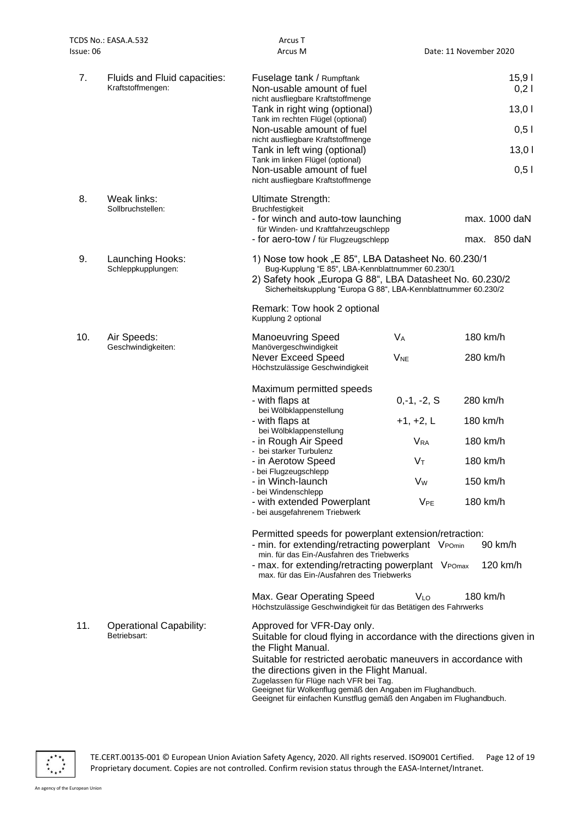|           | TCDS No.: EASA.A.532                              | Arcus T                                                                                                                                                                                                                                 |                       |                        |
|-----------|---------------------------------------------------|-----------------------------------------------------------------------------------------------------------------------------------------------------------------------------------------------------------------------------------------|-----------------------|------------------------|
| Issue: 06 |                                                   | Arcus M                                                                                                                                                                                                                                 |                       | Date: 11 November 2020 |
| 7.        | Fluids and Fluid capacities:<br>Kraftstoffmengen: | Fuselage tank / Rumpftank<br>Non-usable amount of fuel<br>nicht ausfliegbare Kraftstoffmenge<br>Tank in right wing (optional)                                                                                                           |                       | 15,91<br>0,21<br>13,01 |
|           |                                                   | Tank im rechten Flügel (optional)                                                                                                                                                                                                       |                       |                        |
|           |                                                   | Non-usable amount of fuel<br>nicht ausfliegbare Kraftstoffmenge                                                                                                                                                                         |                       | $0,5$                  |
|           |                                                   | Tank in left wing (optional)<br>Tank im linken Flügel (optional)                                                                                                                                                                        |                       | 13,01                  |
|           |                                                   | Non-usable amount of fuel<br>nicht ausfliegbare Kraftstoffmenge                                                                                                                                                                         |                       | 0,51                   |
| 8.        | Weak links:<br>Sollbruchstellen:                  | Ultimate Strength:<br><b>Bruchfestigkeit</b>                                                                                                                                                                                            |                       |                        |
|           |                                                   | - for winch and auto-tow launching<br>für Winden- und Kraftfahrzeugschlepp                                                                                                                                                              |                       | max. 1000 daN          |
|           |                                                   | - for aero-tow / für Flugzeugschlepp                                                                                                                                                                                                    |                       | max. 850 daN           |
| 9.        | Launching Hooks:<br>Schleppkupplungen:            | 1) Nose tow hook "E 85", LBA Datasheet No. 60.230/1<br>Bug-Kupplung "E 85", LBA-Kennblattnummer 60.230/1<br>2) Safety hook "Europa G 88", LBA Datasheet No. 60.230/2<br>Sicherheitskupplung "Europa G 88", LBA-Kennblattnummer 60.230/2 |                       |                        |
|           |                                                   | Remark: Tow hook 2 optional<br>Kupplung 2 optional                                                                                                                                                                                      |                       |                        |
| 10.       | Air Speeds:<br>Geschwindigkeiten:                 | <b>Manoeuvring Speed</b><br>Manövergeschwindigkeit                                                                                                                                                                                      | $V_A$                 | 180 km/h               |
|           |                                                   | Never Exceed Speed<br>Höchstzulässige Geschwindigkeit                                                                                                                                                                                   | <b>V<sub>NE</sub></b> | 280 km/h               |
|           |                                                   | Maximum permitted speeds<br>- with flaps at<br>bei Wölbklappenstellung<br>- with flaps at                                                                                                                                               | $0,-1,-2, S$          | 280 km/h               |
|           |                                                   | bei Wölbklappenstellung                                                                                                                                                                                                                 | $+1, +2, L$           | 180 km/h               |
|           |                                                   | - in Rough Air Speed<br>- bei starker Turbulenz                                                                                                                                                                                         | <b>V<sub>RA</sub></b> | 180 km/h               |
|           |                                                   | - in Aerotow Speed<br>- bei Flugzeugschlepp                                                                                                                                                                                             | Vт                    | 180 km/h               |
|           |                                                   | - in Winch-launch                                                                                                                                                                                                                       | V <sub>w</sub>        | 150 km/h               |
|           |                                                   | - bei Windenschlepp<br>- with extended Powerplant<br>- bei ausgefahrenem Triebwerk                                                                                                                                                      | V <sub>PE</sub>       | 180 km/h               |
|           |                                                   | Permitted speeds for powerplant extension/retraction:<br>- min. for extending/retracting powerplant VPOmin<br>min. für das Ein-/Ausfahren des Triebwerks                                                                                |                       | 90 km/h                |
|           |                                                   | - max. for extending/retracting powerplant VPOmax<br>max. für das Ein-/Ausfahren des Triebwerks                                                                                                                                         |                       | 120 km/h               |
|           |                                                   | Max. Gear Operating Speed<br>Höchstzulässige Geschwindigkeit für das Betätigen des Fahrwerks                                                                                                                                            | <b>V<sub>LO</sub></b> | 180 km/h               |
| 11.       | <b>Operational Capability:</b><br>Betriebsart:    | Approved for VFR-Day only.<br>Suitable for cloud flying in accordance with the directions given in<br>the Flight Manual.<br>Suitable for restricted aerobatic maneuvers in accordance with                                              |                       |                        |
|           |                                                   | the directions given in the Flight Manual                                                                                                                                                                                               |                       |                        |

the directions given in the Flight Manual.

Zugelassen für Flüge nach VFR bei Tag. Geeignet für Wolkenflug gemäß den Angaben im Flughandbuch.

Geeignet für einfachen Kunstflug gemäß den Angaben im Flughandbuch.

 $x^{***}_{*,\star}$ 

TE.CERT.00135-001 © European Union Aviation Safety Agency, 2020. All rights reserved. ISO9001 Certified. Page 12 of 19 Proprietary document. Copies are not controlled. Confirm revision status through the EASA-Internet/Intranet.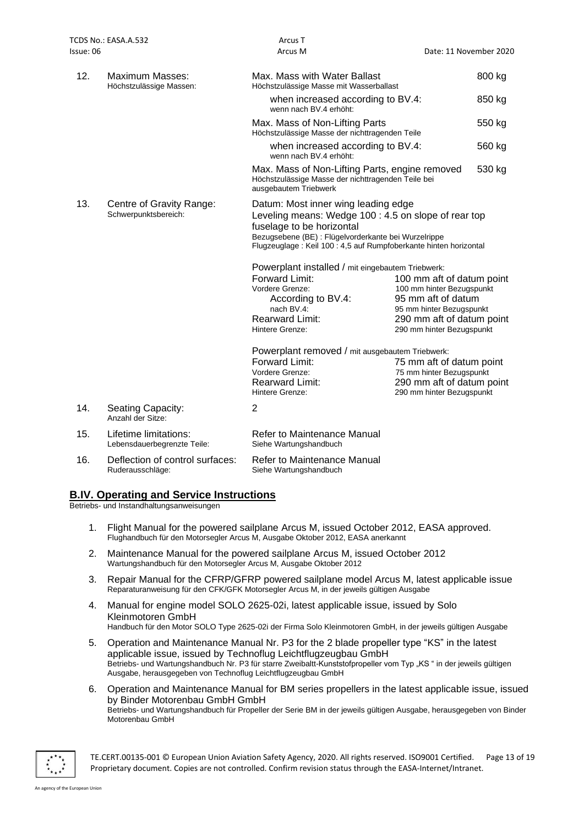| sue: 06 |                                                      | Arcus M                                                                                                                                                                                                                                              | Date: 11 November 2020                                                                                                                |
|---------|------------------------------------------------------|------------------------------------------------------------------------------------------------------------------------------------------------------------------------------------------------------------------------------------------------------|---------------------------------------------------------------------------------------------------------------------------------------|
| 12.     | Maximum Masses:<br>Höchstzulässige Massen:           | Max. Mass with Water Ballast<br>Höchstzulässige Masse mit Wasserballast                                                                                                                                                                              | 800 kg                                                                                                                                |
|         |                                                      | when increased according to BV.4:<br>wenn nach BV.4 erhöht:                                                                                                                                                                                          | 850 kg                                                                                                                                |
|         |                                                      | Max. Mass of Non-Lifting Parts<br>Höchstzulässige Masse der nichttragenden Teile                                                                                                                                                                     | 550 kg                                                                                                                                |
|         |                                                      | when increased according to BV.4:<br>wenn nach BV.4 erhöht:                                                                                                                                                                                          | 560 kg                                                                                                                                |
|         |                                                      | Max. Mass of Non-Lifting Parts, engine removed<br>Höchstzulässige Masse der nichttragenden Teile bei<br>ausgebautem Triebwerk                                                                                                                        | 530 kg                                                                                                                                |
| 13.     | Centre of Gravity Range:<br>Schwerpunktsbereich:     | Datum: Most inner wing leading edge<br>Leveling means: Wedge 100 : 4.5 on slope of rear top<br>fuselage to be horizontal<br>Bezugsebene (BE) : Flügelvorderkante bei Wurzelrippe<br>Flugzeuglage: Keil 100: 4,5 auf Rumpfoberkante hinten horizontal |                                                                                                                                       |
|         |                                                      | Powerplant installed / mit eingebautem Triebwerk:                                                                                                                                                                                                    |                                                                                                                                       |
|         |                                                      | Forward Limit:<br>Vordere Grenze:<br>According to BV.4:<br>nach BV.4:<br><b>Rearward Limit:</b><br>Hintere Grenze:                                                                                                                                   | 100 mm aft of datum point<br>100 mm hinter Bezugspunkt<br>95 mm aft of datum<br>95 mm hinter Bezugspunkt<br>290 mm aft of datum point |
|         |                                                      |                                                                                                                                                                                                                                                      | 290 mm hinter Bezugspunkt                                                                                                             |
|         |                                                      | Powerplant removed / mit ausgebautem Triebwerk:<br>Forward Limit:<br>Vordere Grenze:<br><b>Rearward Limit:</b><br>Hintere Grenze:                                                                                                                    | 75 mm aft of datum point<br>75 mm hinter Bezugspunkt<br>290 mm aft of datum point<br>290 mm hinter Bezugspunkt                        |
| 14.     | Seating Capacity:<br>Anzahl der Sitze:               | 2                                                                                                                                                                                                                                                    |                                                                                                                                       |
| 15.     | Lifetime limitations:<br>Lebensdauerbegrenzte Teile: | Refer to Maintenance Manual<br>Siehe Wartungshandbuch                                                                                                                                                                                                |                                                                                                                                       |
| 16.     | Deflection of control surfaces:                      | Refer to Maintenance Manual                                                                                                                                                                                                                          |                                                                                                                                       |

# **B.IV. Operating and Service Instructions**

Betriebs- und Instandhaltungsanweisungen

Ruderausschläge:

1. Flight Manual for the powered sailplane Arcus M, issued October 2012, EASA approved. Flughandbuch für den Motorsegler Arcus M, Ausgabe Oktober 2012, EASA anerkannt

Siehe Wartungshandbuch

- 2. Maintenance Manual for the powered sailplane Arcus M, issued October 2012 Wartungshandbuch für den Motorsegler Arcus M, Ausgabe Oktober 2012
- 3. Repair Manual for the CFRP/GFRP powered sailplane model Arcus M, latest applicable issue Reparaturanweisung für den CFK/GFK Motorsegler Arcus M, in der jeweils gültigen Ausgabe
- 4. Manual for engine model SOLO 2625-02i, latest applicable issue, issued by Solo Kleinmotoren GmbH Handbuch für den Motor SOLO Type 2625-02i der Firma Solo Kleinmotoren GmbH, in der jeweils gültigen Ausgabe
- 5. Operation and Maintenance Manual Nr. P3 for the 2 blade propeller type "KS" in the latest applicable issue, issued by Technoflug Leichtflugzeugbau GmbH Betriebs- und Wartungshandbuch Nr. P3 für starre Zweibaltt-Kunststofpropeller vom Typ "KS" in der jeweils gültigen Ausgabe, herausgegeben von Technoflug Leichtflugzeugbau GmbH
- 6. Operation and Maintenance Manual for BM series propellers in the latest applicable issue, issued by Binder Motorenbau GmbH GmbH Betriebs- und Wartungshandbuch für Propeller der Serie BM in der jeweils gültigen Ausgabe, herausgegeben von Binder Motorenbau GmbH



TE.CERT.00135-001 © European Union Aviation Safety Agency, 2020. All rights reserved. ISO9001 Certified. Page 13 of 19 Proprietary document. Copies are not controlled. Confirm revision status through the EASA-Internet/Intranet.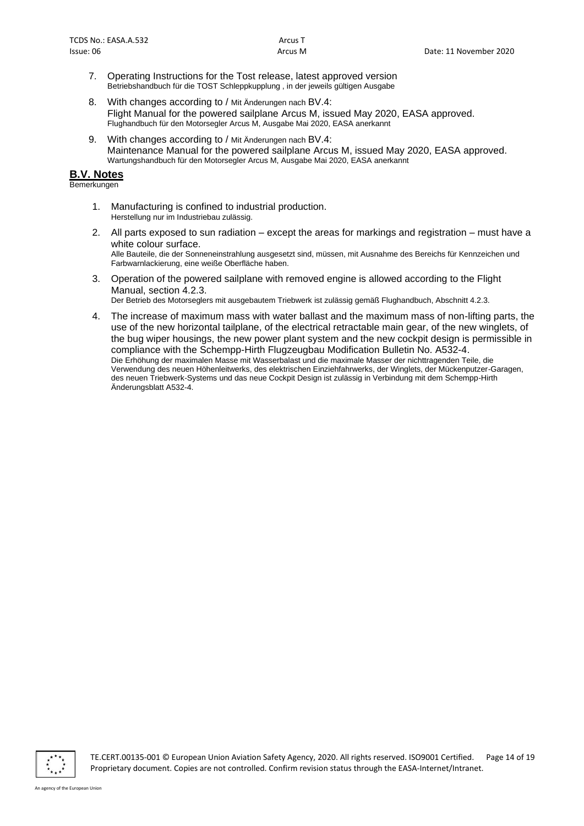- 7. Operating Instructions for the Tost release, latest approved version Betriebshandbuch für die TOST Schleppkupplung , in der jeweils gültigen Ausgabe
- 8. With changes according to / Mit Änderungen nach BV.4: Flight Manual for the powered sailplane Arcus M, issued May 2020, EASA approved. Flughandbuch für den Motorsegler Arcus M, Ausgabe Mai 2020, EASA anerkannt
- 9. With changes according to / Mit Änderungen nach BV.4: Maintenance Manual for the powered sailplane Arcus M, issued May 2020, EASA approved. Wartungshandbuch für den Motorsegler Arcus M, Ausgabe Mai 2020, EASA anerkannt

#### **B.V. Notes**

Bemerkungen

- 1. Manufacturing is confined to industrial production. Herstellung nur im Industriebau zulässig.
- 2. All parts exposed to sun radiation except the areas for markings and registration must have a white colour surface. Alle Bauteile, die der Sonneneinstrahlung ausgesetzt sind, müssen, mit Ausnahme des Bereichs für Kennzeichen und Farbwarnlackierung, eine weiße Oberfläche haben.
- 3. Operation of the powered sailplane with removed engine is allowed according to the Flight Manual, section 4.2.3.

Der Betrieb des Motorseglers mit ausgebautem Triebwerk ist zulässig gemäß Flughandbuch, Abschnitt 4.2.3.

4. The increase of maximum mass with water ballast and the maximum mass of non-lifting parts, the use of the new horizontal tailplane, of the electrical retractable main gear, of the new winglets, of the bug wiper housings, the new power plant system and the new cockpit design is permissible in compliance with the Schempp-Hirth Flugzeugbau Modification Bulletin No. A532-4. Die Erhöhung der maximalen Masse mit Wasserbalast und die maximale Masser der nichttragenden Teile, die Verwendung des neuen Höhenleitwerks, des elektrischen Einziehfahrwerks, der Winglets, der Mückenputzer-Garagen, des neuen Triebwerk-Systems und das neue Cockpit Design ist zulässig in Verbindung mit dem Schempp-Hirth Änderungsblatt A532-4.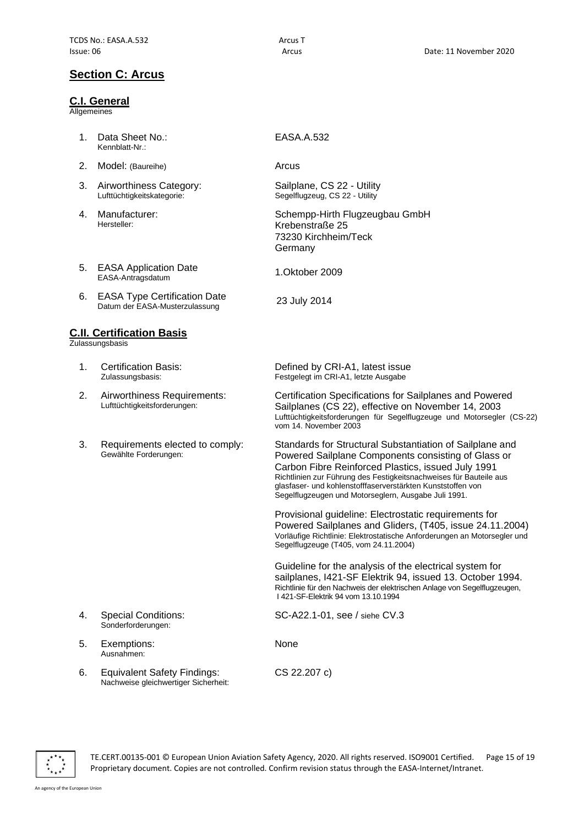# **Section C: Arcus**

#### **C.I. General**

**Allgemeines** 

- 1. Data Sheet No.: Kennblatt-Nr.:
- 2. Model: (Baureihe) **Arcus** Arcus
- 3. Airworthiness Category: Lufttüchtigkeitskategorie:
- 4. Manufacturer: Hersteller:
- 5. EASA Application Date EASA-Antragsdatum Date<br>EASA-Antragsdatum 1.Oktober 2009
- 6. EASA Type Certification Date EASA Type Centrication Date<br>Datum der EASA-Musterzulassung 23 July 2014

## **C.II. Certification Basis**

Zulassungsbasis

- 1. Certification Basis: Zulassungsbasis:
- 2. Airworthiness Requirements: Lufttüchtigkeitsforderungen:
- 3. Requirements elected to comply: Gewählte Forderungen:

EASA.A.532

Sailplane, CS 22 - Utility Segelflugzeug, CS 22 - Utility

Schempp-Hirth Flugzeugbau GmbH Krebenstraße 25 73230 Kirchheim/Teck Germany

Defined by CRI-A1, latest issue Festgelegt im CRI-A1, letzte Ausgabe

Certification Specifications for Sailplanes and Powered Sailplanes (CS 22), effective on November 14, 2003 Lufttüchtigkeitsforderungen für Segelflugzeuge und Motorsegler (CS-22) vom 14. November 2003

Standards for Structural Substantiation of Sailplane and Powered Sailplane Components consisting of Glass or Carbon Fibre Reinforced Plastics, issued July 1991 Richtlinien zur Führung des Festigkeitsnachweises für Bauteile aus glasfaser- und kohlenstofffaserverstärkten Kunststoffen von Segelflugzeugen und Motorseglern, Ausgabe Juli 1991.

Provisional guideline: Electrostatic requirements for Powered Sailplanes and Gliders, (T405, issue 24.11.2004) Vorläufige Richtlinie: Elektrostatische Anforderungen an Motorsegler und Segelflugzeuge (T405, vom 24.11.2004)

Guideline for the analysis of the electrical system for sailplanes, I421-SF Elektrik 94, issued 13. October 1994. Richtlinie für den Nachweis der elektrischen Anlage von Segelflugzeugen, I 421-SF-Elektrik 94 vom 13.10.1994

SC-A22.1-01, see / siehe CV.3

None

CS 22.207 c)

TE.CERT.00135-001 © European Union Aviation Safety Agency, 2020. All rights reserved. ISO9001 Certified. Page 15 of 19

Proprietary document. Copies are not controlled. Confirm revision status through the EASA-Internet/Intranet.

- 4. Special Conditions: Sonderforderungen:
- 5. Exemptions: Ausnahmen:
- 6. Equivalent Safety Findings: Nachweise gleichwertiger Sicherheit:

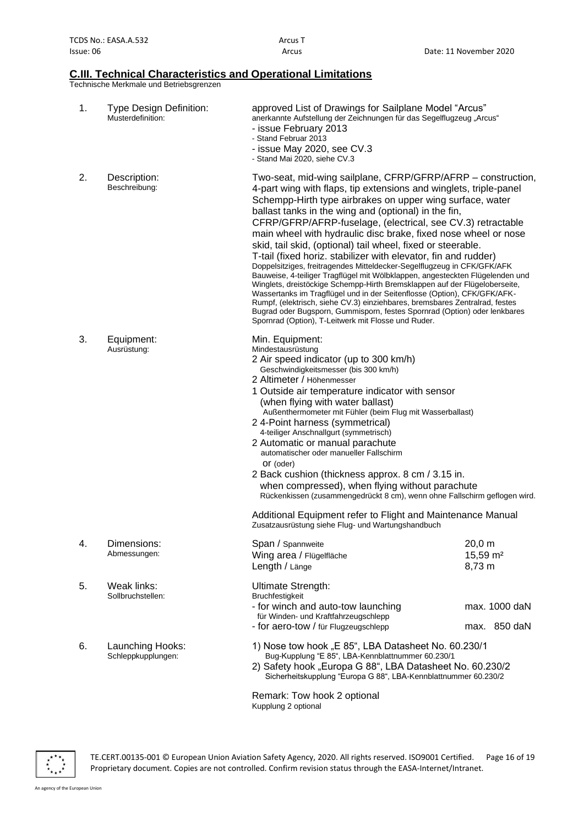#### **C.III. Technical Characteristics and Operational Limitations**

Technische Merkmale und Betriebsgrenzen

| 1. | <b>Type Design Definition:</b><br>Musterdefinition: | approved List of Drawings for Sailplane Model "Arcus"<br>anerkannte Aufstellung der Zeichnungen für das Segelflugzeug "Arcus"<br>- issue February 2013<br>- Stand Februar 2013<br>- issue May 2020, see CV.3<br>- Stand Mai 2020, siehe CV.3                                                                                                                                                                                                                                                                                                                                                                                                                                                                                                                                                                                                                                                                                                                                                                                                                      |                                          |
|----|-----------------------------------------------------|-------------------------------------------------------------------------------------------------------------------------------------------------------------------------------------------------------------------------------------------------------------------------------------------------------------------------------------------------------------------------------------------------------------------------------------------------------------------------------------------------------------------------------------------------------------------------------------------------------------------------------------------------------------------------------------------------------------------------------------------------------------------------------------------------------------------------------------------------------------------------------------------------------------------------------------------------------------------------------------------------------------------------------------------------------------------|------------------------------------------|
| 2. | Description:<br>Beschreibung:                       | Two-seat, mid-wing sailplane, CFRP/GFRP/AFRP - construction,<br>4-part wing with flaps, tip extensions and winglets, triple-panel<br>Schempp-Hirth type airbrakes on upper wing surface, water<br>ballast tanks in the wing and (optional) in the fin,<br>CFRP/GFRP/AFRP-fuselage, (electrical, see CV.3) retractable<br>main wheel with hydraulic disc brake, fixed nose wheel or nose<br>skid, tail skid, (optional) tail wheel, fixed or steerable.<br>T-tail (fixed horiz. stabilizer with elevator, fin and rudder)<br>Doppelsitziges, freitragendes Mitteldecker-Segelflugzeug in CFK/GFK/AFK<br>Bauweise, 4-teiliger Tragflügel mit Wölbklappen, angesteckten Flügelenden und<br>Winglets, dreistöckige Schempp-Hirth Bremsklappen auf der Flügeloberseite,<br>Wassertanks im Tragflügel und in der Seitenflosse (Option), CFK/GFK/AFK-<br>Rumpf, (elektrisch, siehe CV.3) einziehbares, bremsbares Zentralrad, festes<br>Bugrad oder Bugsporn, Gummisporn, festes Spornrad (Option) oder lenkbares<br>Spornrad (Option), T-Leitwerk mit Flosse und Ruder. |                                          |
| 3. | Equipment:<br>Ausrüstung:                           | Min. Equipment:<br>Mindestausrüstung<br>2 Air speed indicator (up to 300 km/h)<br>Geschwindigkeitsmesser (bis 300 km/h)<br>2 Altimeter / Höhenmesser<br>1 Outside air temperature indicator with sensor<br>(when flying with water ballast)<br>Außenthermometer mit Fühler (beim Flug mit Wasserballast)<br>2 4-Point harness (symmetrical)<br>4-teiliger Anschnallgurt (symmetrisch)<br>2 Automatic or manual parachute<br>automatischer oder manueller Fallschirm<br>Or (oder)<br>2 Back cushion (thickness approx. 8 cm / 3.15 in.<br>when compressed), when flying without parachute<br>Rückenkissen (zusammengedrückt 8 cm), wenn ohne Fallschirm geflogen wird.<br>Additional Equipment refer to Flight and Maintenance Manual<br>Zusatzausrüstung siehe Flug- und Wartungshandbuch                                                                                                                                                                                                                                                                         |                                          |
| 4. | Dimensions:<br>Abmessungen:                         | Span / Spannweite<br>Wing area / Flügelfläche<br>Length / Länge                                                                                                                                                                                                                                                                                                                                                                                                                                                                                                                                                                                                                                                                                                                                                                                                                                                                                                                                                                                                   | 20,0 m<br>15,59 m <sup>2</sup><br>8,73 m |
| 5. | Weak links:<br>Sollbruchstellen:                    | Ultimate Strength:<br>Bruchfestigkeit<br>- for winch and auto-tow launching<br>für Winden- und Kraftfahrzeugschlepp<br>- for aero-tow / für Flugzeugschlepp                                                                                                                                                                                                                                                                                                                                                                                                                                                                                                                                                                                                                                                                                                                                                                                                                                                                                                       | max. 1000 daN<br>max. 850 daN            |
| 6. | Launching Hooks:<br>Schleppkupplungen:              | 1) Nose tow hook "E 85", LBA Datasheet No. 60.230/1<br>Bug-Kupplung "E 85", LBA-Kennblattnummer 60.230/1<br>2) Safety hook "Europa G 88", LBA Datasheet No. 60.230/2<br>Sicherheitskupplung "Europa G 88", LBA-Kennblattnummer 60.230/2                                                                                                                                                                                                                                                                                                                                                                                                                                                                                                                                                                                                                                                                                                                                                                                                                           |                                          |

Remark: Tow hook 2 optional Kupplung 2 optional



TE.CERT.00135-001 © European Union Aviation Safety Agency, 2020. All rights reserved. ISO9001 Certified. Page 16 of 19 Proprietary document. Copies are not controlled. Confirm revision status through the EASA-Internet/Intranet.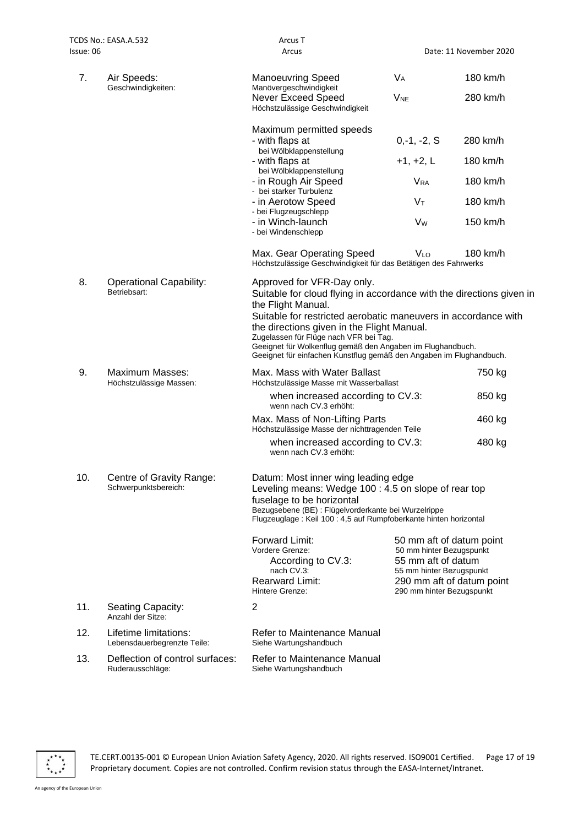| lssue: 06                                            |                                                      | Arcus                                                                                                                                                                                                                                                                                       |                                                                                                                                     | Date: 11 November 2020    |
|------------------------------------------------------|------------------------------------------------------|---------------------------------------------------------------------------------------------------------------------------------------------------------------------------------------------------------------------------------------------------------------------------------------------|-------------------------------------------------------------------------------------------------------------------------------------|---------------------------|
| 7.                                                   | Air Speeds:<br>Geschwindigkeiten:                    | <b>Manoeuvring Speed</b><br>Manövergeschwindigkeit                                                                                                                                                                                                                                          | $V_A$                                                                                                                               | 180 km/h                  |
|                                                      |                                                      | Never Exceed Speed<br>Höchstzulässige Geschwindigkeit                                                                                                                                                                                                                                       | <b>V<sub>NE</sub></b>                                                                                                               | 280 km/h                  |
|                                                      |                                                      | Maximum permitted speeds<br>- with flaps at                                                                                                                                                                                                                                                 | $0,-1,-2, S$                                                                                                                        | 280 km/h                  |
|                                                      |                                                      | bei Wölbklappenstellung<br>- with flaps at                                                                                                                                                                                                                                                  | $+1, +2, L$                                                                                                                         | 180 km/h                  |
|                                                      |                                                      | bei Wölbklappenstellung<br>- in Rough Air Speed                                                                                                                                                                                                                                             | <b>V<sub>RA</sub></b>                                                                                                               | 180 km/h                  |
|                                                      |                                                      | - bei starker Turbulenz<br>- in Aerotow Speed<br>- bei Flugzeugschlepp                                                                                                                                                                                                                      | $V_T$                                                                                                                               | 180 km/h                  |
|                                                      |                                                      | - in Winch-launch<br>- bei Windenschlepp                                                                                                                                                                                                                                                    | <b>Vw</b>                                                                                                                           | 150 km/h                  |
|                                                      |                                                      | Max. Gear Operating Speed<br>Höchstzulässige Geschwindigkeit für das Betätigen des Fahrwerks                                                                                                                                                                                                | <b>VLO</b>                                                                                                                          | 180 km/h                  |
| 8.<br><b>Operational Capability:</b><br>Betriebsart: |                                                      | Approved for VFR-Day only.<br>Suitable for cloud flying in accordance with the directions given in<br>the Flight Manual.                                                                                                                                                                    |                                                                                                                                     |                           |
|                                                      |                                                      | Suitable for restricted aerobatic maneuvers in accordance with<br>the directions given in the Flight Manual.<br>Zugelassen für Flüge nach VFR bei Tag.<br>Geeignet für Wolkenflug gemäß den Angaben im Flughandbuch.<br>Geeignet für einfachen Kunstflug gemäß den Angaben im Flughandbuch. |                                                                                                                                     |                           |
| 9.                                                   | Maximum Masses:<br>Höchstzulässige Massen:           | Max. Mass with Water Ballast<br>Höchstzulässige Masse mit Wasserballast                                                                                                                                                                                                                     |                                                                                                                                     | 750 kg                    |
|                                                      |                                                      | when increased according to CV.3:<br>wenn nach CV.3 erhöht:                                                                                                                                                                                                                                 |                                                                                                                                     | 850 kg                    |
|                                                      |                                                      | Max. Mass of Non-Lifting Parts<br>Höchstzulässige Masse der nichttragenden Teile                                                                                                                                                                                                            |                                                                                                                                     | 460 kg                    |
|                                                      |                                                      | when increased according to CV.3:<br>wenn nach CV.3 erhöht:                                                                                                                                                                                                                                 |                                                                                                                                     | 480 kg                    |
| 10.                                                  | Centre of Gravity Range:<br>Schwerpunktsbereich:     | Datum: Most inner wing leading edge<br>Leveling means: Wedge 100 : 4.5 on slope of rear top<br>fuselage to be horizontal<br>Bezugsebene (BE) : Flügelvorderkante bei Wurzelrippe<br>Flugzeuglage: Keil 100: 4,5 auf Rumpfoberkante hinten horizontal                                        |                                                                                                                                     |                           |
|                                                      |                                                      | Forward Limit:<br>Vordere Grenze:<br>According to CV.3:<br>nach CV.3:<br><b>Rearward Limit:</b><br>Hintere Grenze:                                                                                                                                                                          | 50 mm aft of datum point<br>50 mm hinter Bezugspunkt<br>55 mm aft of datum<br>55 mm hinter Bezugspunkt<br>290 mm hinter Bezugspunkt | 290 mm aft of datum point |
| 11.                                                  | Seating Capacity:<br>Anzahl der Sitze:               | 2                                                                                                                                                                                                                                                                                           |                                                                                                                                     |                           |
| 12.                                                  | Lifetime limitations:<br>Lebensdauerbegrenzte Teile: | Refer to Maintenance Manual<br>Siehe Wartungshandbuch                                                                                                                                                                                                                                       |                                                                                                                                     |                           |
| 13.                                                  | Deflection of control surfaces:<br>Ruderausschläge:  | Refer to Maintenance Manual<br>Siehe Wartungshandbuch                                                                                                                                                                                                                                       |                                                                                                                                     |                           |



TE.CERT.00135-001 © European Union Aviation Safety Agency, 2020. All rights reserved. ISO9001 Certified. Page 17 of 19 Proprietary document. Copies are not controlled. Confirm revision status through the EASA-Internet/Intranet.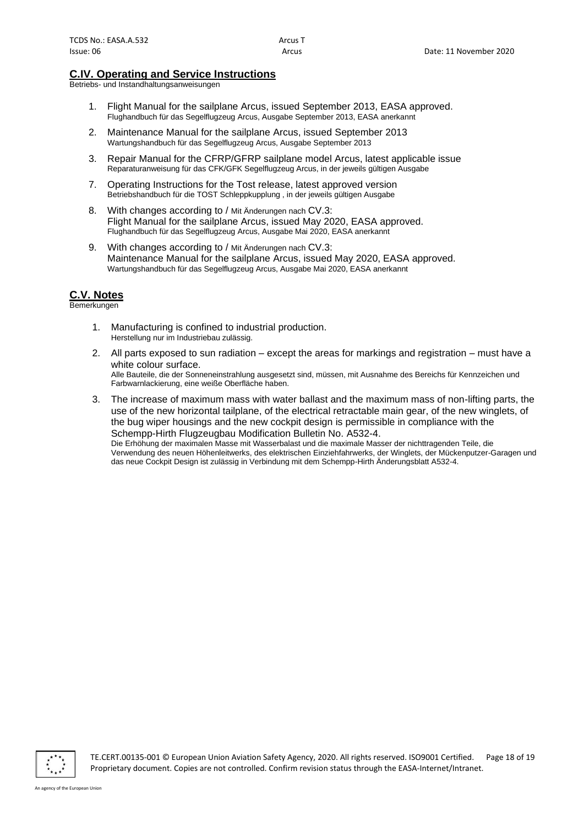#### **C.IV. Operating and Service Instructions**

Betriebs- und Instandhaltungsanweisungen

- 1. Flight Manual for the sailplane Arcus, issued September 2013, EASA approved. Flughandbuch für das Segelflugzeug Arcus, Ausgabe September 2013, EASA anerkannt
- 2. Maintenance Manual for the sailplane Arcus, issued September 2013 Wartungshandbuch für das Segelflugzeug Arcus, Ausgabe September 2013
- 3. Repair Manual for the CFRP/GFRP sailplane model Arcus, latest applicable issue Reparaturanweisung für das CFK/GFK Segelflugzeug Arcus, in der jeweils gültigen Ausgabe
- 7. Operating Instructions for the Tost release, latest approved version Betriebshandbuch für die TOST Schleppkupplung , in der jeweils gültigen Ausgabe
- 8. With changes according to / Mit Änderungen nach CV.3: Flight Manual for the sailplane Arcus, issued May 2020, EASA approved. Flughandbuch für das Segelflugzeug Arcus, Ausgabe Mai 2020, EASA anerkannt
- 9. With changes according to / Mit Änderungen nach CV.3: Maintenance Manual for the sailplane Arcus, issued May 2020, EASA approved. Wartungshandbuch für das Segelflugzeug Arcus, Ausgabe Mai 2020, EASA anerkannt

#### **C.V. Notes**

Bemerkungen

- 1. Manufacturing is confined to industrial production. Herstellung nur im Industriebau zulässig.
- 2. All parts exposed to sun radiation except the areas for markings and registration must have a white colour surface. Alle Bauteile, die der Sonneneinstrahlung ausgesetzt sind, müssen, mit Ausnahme des Bereichs für Kennzeichen und Farbwarnlackierung, eine weiße Oberfläche haben.
- 3. The increase of maximum mass with water ballast and the maximum mass of non-lifting parts, the use of the new horizontal tailplane, of the electrical retractable main gear, of the new winglets, of the bug wiper housings and the new cockpit design is permissible in compliance with the Schempp-Hirth Flugzeugbau Modification Bulletin No. A532-4. Die Erhöhung der maximalen Masse mit Wasserbalast und die maximale Masser der nichttragenden Teile, die Verwendung des neuen Höhenleitwerks, des elektrischen Einziehfahrwerks, der Winglets, der Mückenputzer-Garagen und das neue Cockpit Design ist zulässig in Verbindung mit dem Schempp-Hirth Änderungsblatt A532-4.



TE.CERT.00135-001 © European Union Aviation Safety Agency, 2020. All rights reserved. ISO9001 Certified. Page 18 of 19 Proprietary document. Copies are not controlled. Confirm revision status through the EASA-Internet/Intranet.